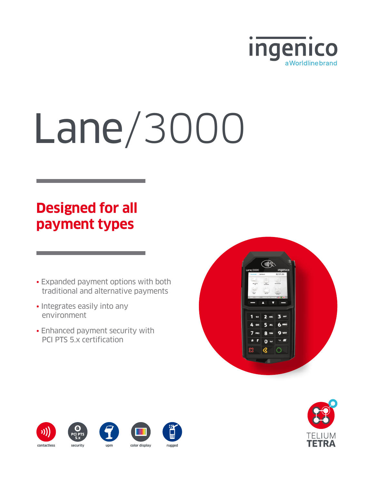

# Lane/3000

# **Designed for all payment types**

- Expanded payment options with both traditional and alternative payments
- Integrates easily into any environment
- Enhanced payment security with PCI PTS 5.x certification